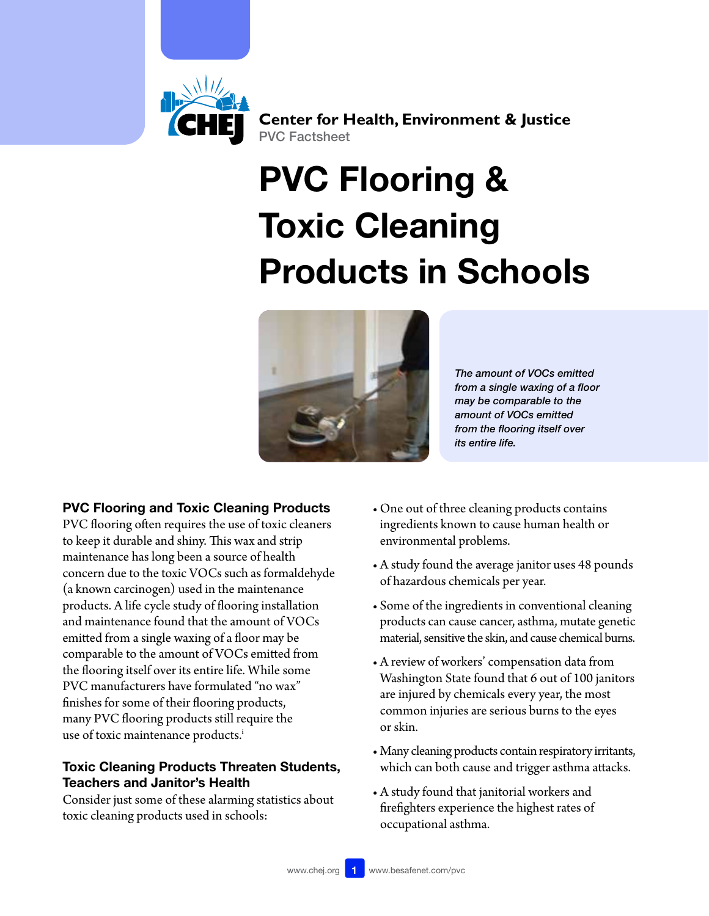

**Center for Health, Environment & Justice** PVC Factsheet

# PVC Flooring & Toxic Cleaning Products in Schools



*The amount of VOCs emitted from a single waxing of a floor may be comparable to the amount of VOCs emitted from the flooring itself over its entire life.*

## PVC Flooring and Toxic Cleaning Products

PVC flooring often requires the use of toxic cleaners to keep it durable and shiny. This wax and strip maintenance has long been a source of health concern due to the toxic VOCs such as formaldehyde (a known carcinogen) used in the maintenance products. A life cycle study of flooring installation and maintenance found that the amount of VOCs emitted from a single waxing of a floor may be comparable to the amount of VOCs emitted from the flooring itself over its entire life. While some PVC manufacturers have formulated "no wax" finishes for some of their flooring products, many PVC flooring products still require the use of tox[i](#page-5-0)c maintenance products.<sup>i</sup>

## Toxic Cleaning Products Threaten Students, Teachers and Janitor's Health

Consider just some of these alarming statistics about toxic cleaning products used in schools:

- One out of three cleaning products contains ingredients known to cause human health or environmental problems.
- • A study found the average janitor uses 48 pounds of hazardous chemicals per year.
- Some of the ingredients in conventional cleaning products can cause cancer, asthma, mutate genetic material, sensitive the skin, and cause chemical burns.
- • A review of workers' compensation data from Washington State found that 6 out of 100 janitors are injured by chemicals every year, the most common injuries are serious burns to the eyes or skin.
- • Many cleaning products contain respiratory irritants, which can both cause and trigger asthma attacks.
- • A study found that janitorial workers and firefighters experience the highest rates of occupational asthma.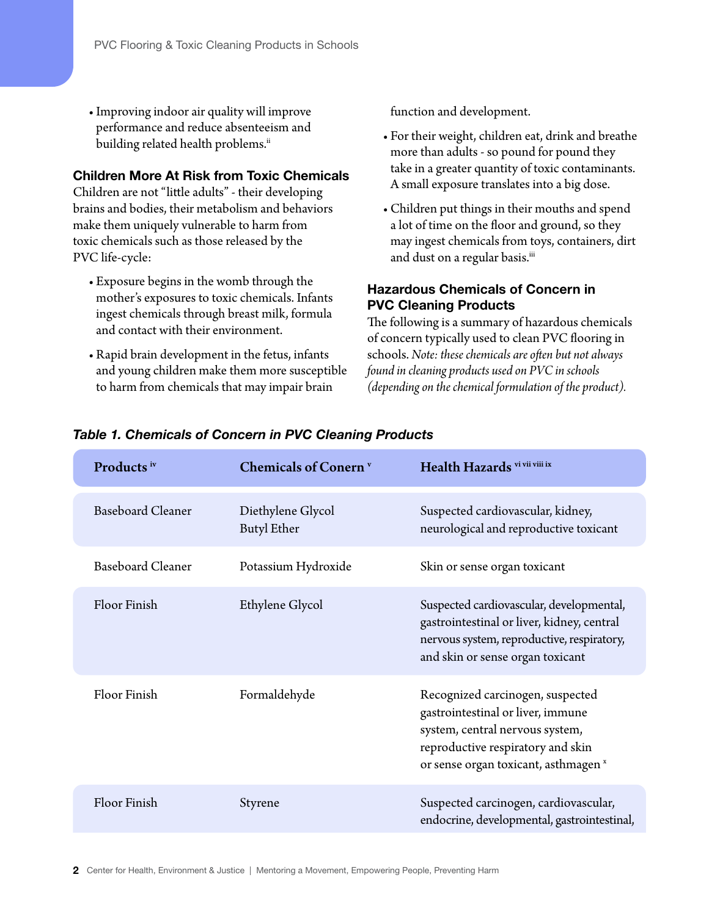• Improving indoor air quality will improve performance and reduce absenteeism and building related health problems.<sup>ii</sup>

#### Children More At Risk from Toxic Chemicals

Children are not "little adults" - their developing brains and bodies, their metabolism and behaviors make them uniquely vulnerable to harm from toxic chemicals such as those released by the PVC life-cycle:

- • Exposure begins in the womb through the mother's exposures to toxic chemicals. Infants ingest chemicals through breast milk, formula and contact with their environment.
- Rapid brain development in the fetus, infants and young children make them more susceptible to harm from chemicals that may impair brain

function and development.

- • For their weight, children eat, drink and breathe more than adults - so pound for pound they take in a greater quantity of toxic contaminants. A small exposure translates into a big dose.
- • Children put things in their mouths and spend a lot of time on the floor and ground, so they may ingest chemicals from toys, containers, dirt and dust on a regular basis.<sup>iii</sup>

## Hazardous Chemicals of Concern in PVC Cleaning Products

The following is a summary of hazardous chemicals of concern typically used to clean PVC flooring in schools. *Note: these chemicals are often but not always found in cleaning products used on PVC in schools (depending on the chemical formulation of the product).* 

| Products iv              | Chemicals of Conern <sup>v</sup>        | Health Hazards vi vii viii ix                                                                                                                                                         |
|--------------------------|-----------------------------------------|---------------------------------------------------------------------------------------------------------------------------------------------------------------------------------------|
| <b>Baseboard Cleaner</b> | Diethylene Glycol<br><b>Butyl Ether</b> | Suspected cardiovascular, kidney,<br>neurological and reproductive toxicant                                                                                                           |
| <b>Baseboard Cleaner</b> | Potassium Hydroxide                     | Skin or sense organ toxicant                                                                                                                                                          |
| Floor Finish             | Ethylene Glycol                         | Suspected cardiovascular, developmental,<br>gastrointestinal or liver, kidney, central<br>nervous system, reproductive, respiratory,<br>and skin or sense organ toxicant              |
| Floor Finish             | Formaldehyde                            | Recognized carcinogen, suspected<br>gastrointestinal or liver, immune<br>system, central nervous system,<br>reproductive respiratory and skin<br>or sense organ toxicant, asthmagen x |
| Floor Finish             | Styrene                                 | Suspected carcinogen, cardiovascular,<br>endocrine, developmental, gastrointestinal,                                                                                                  |

## *Table 1. Chemicals of Concern in PVC Cleaning Products*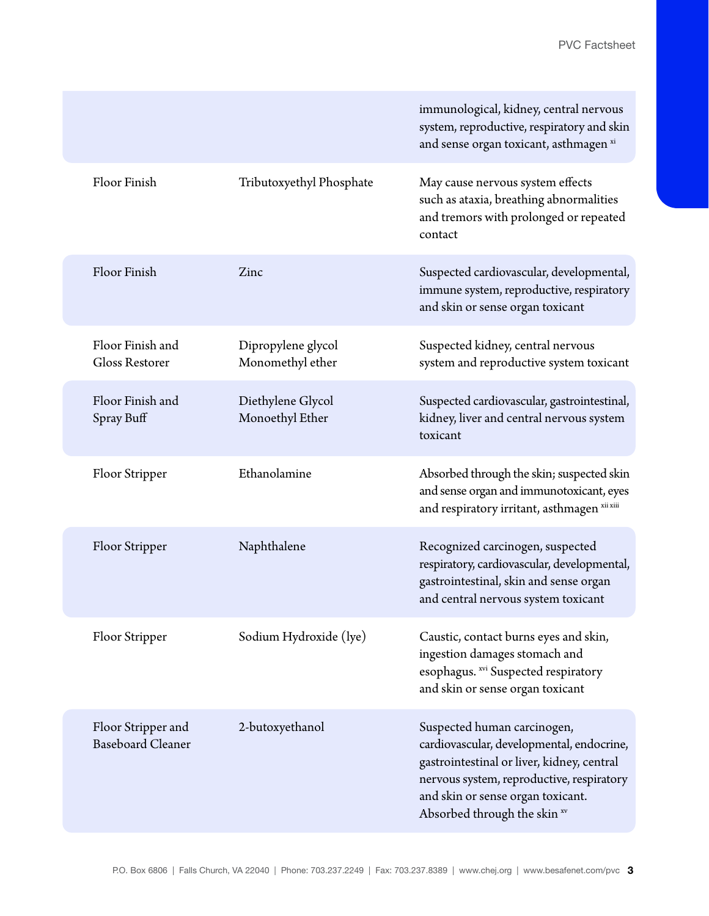|                                                |                                        | immunological, kidney, central nervous<br>system, reproductive, respiratory and skin<br>and sense organ toxicant, asthmagen xi                                                                                                           |
|------------------------------------------------|----------------------------------------|------------------------------------------------------------------------------------------------------------------------------------------------------------------------------------------------------------------------------------------|
| Floor Finish                                   | Tributoxyethyl Phosphate               | May cause nervous system effects<br>such as ataxia, breathing abnormalities<br>and tremors with prolonged or repeated<br>contact                                                                                                         |
| Floor Finish                                   | Zinc                                   | Suspected cardiovascular, developmental,<br>immune system, reproductive, respiratory<br>and skin or sense organ toxicant                                                                                                                 |
| Floor Finish and<br><b>Gloss Restorer</b>      | Dipropylene glycol<br>Monomethyl ether | Suspected kidney, central nervous<br>system and reproductive system toxicant                                                                                                                                                             |
| Floor Finish and<br>Spray Buff                 | Diethylene Glycol<br>Monoethyl Ether   | Suspected cardiovascular, gastrointestinal,<br>kidney, liver and central nervous system<br>toxicant                                                                                                                                      |
| Floor Stripper                                 | Ethanolamine                           | Absorbed through the skin; suspected skin<br>and sense organ and immunotoxicant, eyes<br>and respiratory irritant, asthmagen xii xiii                                                                                                    |
| Floor Stripper                                 | Naphthalene                            | Recognized carcinogen, suspected<br>respiratory, cardiovascular, developmental,<br>gastrointestinal, skin and sense organ<br>and central nervous system toxicant                                                                         |
| Floor Stripper                                 | Sodium Hydroxide (lye)                 | Caustic, contact burns eyes and skin,<br>ingestion damages stomach and<br>esophagus. xvi Suspected respiratory<br>and skin or sense organ toxicant                                                                                       |
| Floor Stripper and<br><b>Baseboard Cleaner</b> | 2-butoxyethanol                        | Suspected human carcinogen,<br>cardiovascular, developmental, endocrine,<br>gastrointestinal or liver, kidney, central<br>nervous system, reproductive, respiratory<br>and skin or sense organ toxicant.<br>Absorbed through the skin xv |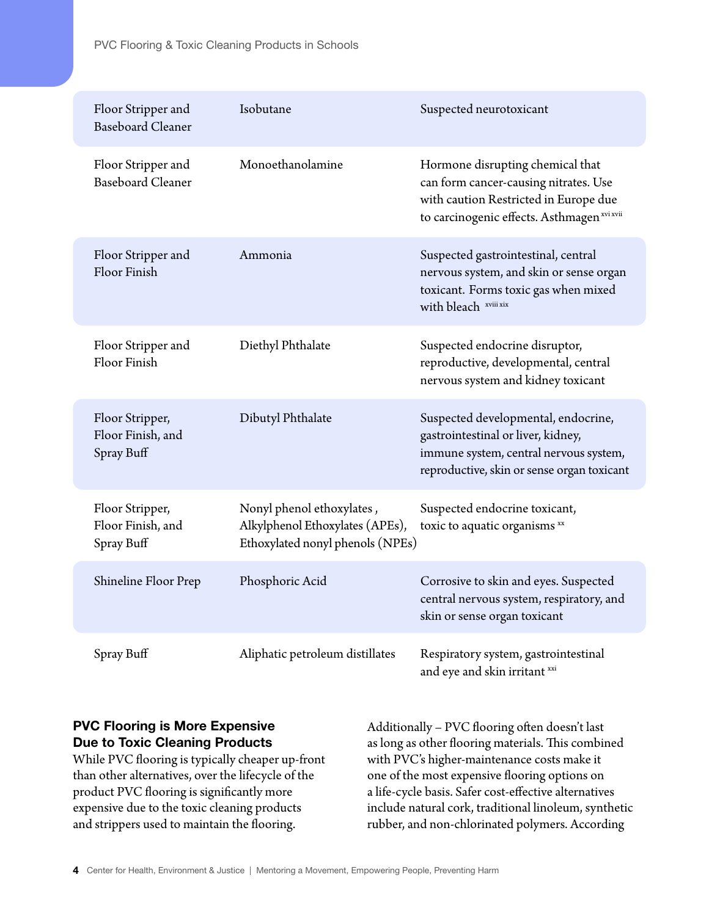| Floor Stripper and<br><b>Baseboard Cleaner</b>     | Isobutane                                                                                        | Suspected neurotoxicant                                                                                                                                           |
|----------------------------------------------------|--------------------------------------------------------------------------------------------------|-------------------------------------------------------------------------------------------------------------------------------------------------------------------|
| Floor Stripper and<br><b>Baseboard Cleaner</b>     | Monoethanolamine                                                                                 | Hormone disrupting chemical that<br>can form cancer-causing nitrates. Use<br>with caution Restricted in Europe due<br>to carcinogenic effects. Asthmagen xvixvii  |
| Floor Stripper and<br>Floor Finish                 | Ammonia                                                                                          | Suspected gastrointestinal, central<br>nervous system, and skin or sense organ<br>toxicant. Forms toxic gas when mixed<br>with bleach xviii xix                   |
| Floor Stripper and<br>Floor Finish                 | Diethyl Phthalate                                                                                | Suspected endocrine disruptor,<br>reproductive, developmental, central<br>nervous system and kidney toxicant                                                      |
| Floor Stripper,<br>Floor Finish, and<br>Spray Buff | Dibutyl Phthalate                                                                                | Suspected developmental, endocrine,<br>gastrointestinal or liver, kidney,<br>immune system, central nervous system,<br>reproductive, skin or sense organ toxicant |
| Floor Stripper,<br>Floor Finish, and<br>Spray Buff | Nonyl phenol ethoxylates,<br>Alkylphenol Ethoxylates (APEs),<br>Ethoxylated nonyl phenols (NPEs) | Suspected endocrine toxicant,<br>toxic to aquatic organisms xx                                                                                                    |
| Shineline Floor Prep                               | Phosphoric Acid                                                                                  | Corrosive to skin and eyes. Suspected<br>central nervous system, respiratory, and<br>skin or sense organ toxicant                                                 |
| Spray Buff                                         | Aliphatic petroleum distillates                                                                  | Respiratory system, gastrointestinal<br>and eye and skin irritant xxi                                                                                             |

# PVC Flooring is More Expensive Due to Toxic Cleaning Products

While PVC flooring is typically cheaper up-front than other alternatives, over the lifecycle of the product PVC flooring is significantly more expensive due to the toxic cleaning products and strippers used to maintain the flooring.

Additionally – PVC flooring often doesn't last as long as other flooring materials. This combined with PVC's higher-maintenance costs make it one of the most expensive flooring options on a life-cycle basis. Safer cost-effective alternatives include natural cork, traditional linoleum, synthetic rubber, and non-chlorinated polymers. According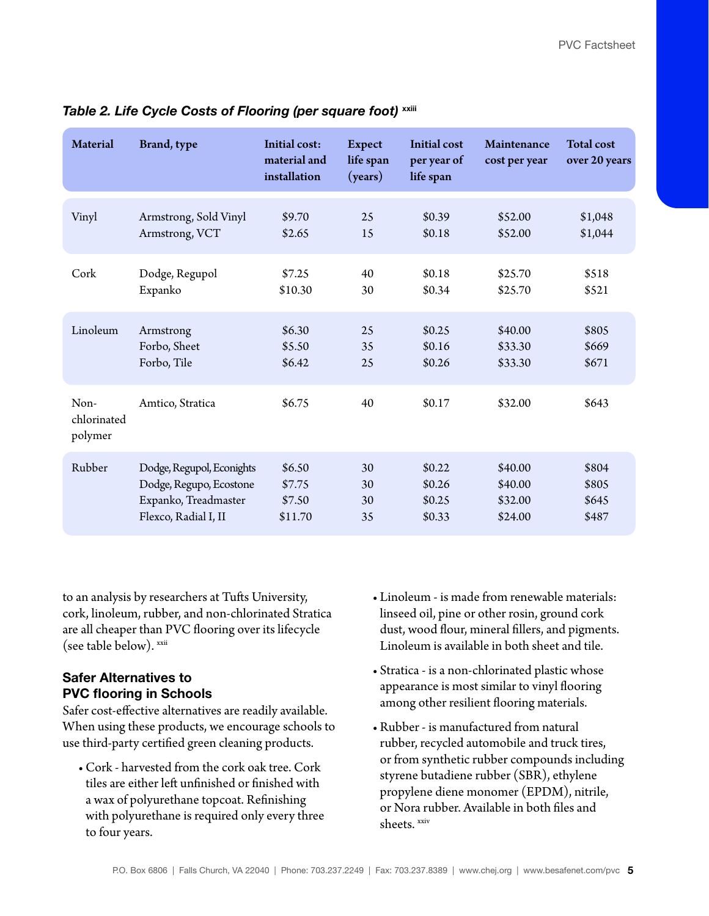| <b>Material</b>                | Brand, type               | Initial cost:<br>material and<br>installation | <b>Expect</b><br>life span<br>(years) | <b>Initial cost</b><br>per year of<br>life span | Maintenance<br>cost per year | <b>Total cost</b><br>over 20 years |
|--------------------------------|---------------------------|-----------------------------------------------|---------------------------------------|-------------------------------------------------|------------------------------|------------------------------------|
| Vinyl                          | Armstrong, Sold Vinyl     | \$9.70                                        | 25                                    | \$0.39                                          | \$52.00                      | \$1,048                            |
|                                | Armstrong, VCT            | \$2.65                                        | 15                                    | \$0.18                                          | \$52.00                      | \$1,044                            |
| Cork                           | Dodge, Regupol            | \$7.25                                        | 40                                    | \$0.18                                          | \$25.70                      | \$518                              |
|                                | Expanko                   | \$10.30                                       | 30                                    | \$0.34                                          | \$25.70                      | \$521                              |
| Linoleum                       | Armstrong                 | \$6.30                                        | 25                                    | \$0.25                                          | \$40.00                      | \$805                              |
|                                | Forbo, Sheet              | \$5.50                                        | 35                                    | \$0.16                                          | \$33.30                      | \$669                              |
|                                | Forbo, Tile               | \$6.42                                        | 25                                    | \$0.26                                          | \$33.30                      | \$671                              |
| Non-<br>chlorinated<br>polymer | Amtico, Stratica          | \$6.75                                        | 40                                    | \$0.17                                          | \$32.00                      | \$643                              |
| Rubber                         | Dodge, Regupol, Econights | \$6.50                                        | 30                                    | \$0.22                                          | \$40.00                      | \$804                              |
|                                | Dodge, Regupo, Ecostone   | \$7.75                                        | 30                                    | \$0.26                                          | \$40.00                      | \$805                              |
|                                | Expanko, Treadmaster      | \$7.50                                        | 30                                    | \$0.25                                          | \$32.00                      | \$645                              |
|                                | Flexco, Radial I, II      | \$11.70                                       | 35                                    | \$0.33                                          | \$24.00                      | \$487                              |

# **Table 2. Life Cycle Costs of Flooring (per square foot) [xxiii](#page-6-19)**

to an analysis by researchers at Tufts University, cork, linoleum, rubber, and non-chlorinated Stratica are all cheaper than PVC flooring over its lifecycle (see table below). [xxii](#page-6-20)

# Safer Alternatives to PVC flooring in Schools

Safer cost-effective alternatives are readily available. When using these products, we encourage schools to use third-party certified green cleaning products.

• Cork - harvested from the cork oak tree. Cork tiles are either left unfinished or finished with a wax of polyurethane topcoat. Refinishing with polyurethane is required only every three to four years.

- • Linoleum is made from renewable materials: linseed oil, pine or other rosin, ground cork dust, wood flour, mineral fillers, and pigments. Linoleum is available in both sheet and tile.
- • Stratica is a non-chlorinated plastic whose appearance is most similar to vinyl flooring among other resilient flooring materials.
- • Rubber is manufactured from natural rubber, recycled automobile and truck tires, or from synthetic rubber compounds including styrene butadiene rubber (SBR), ethylene propylene diene monomer (EPDM), nitrile, or Nora rubber. Available in both files and sheets. [xxiv](#page-6-21)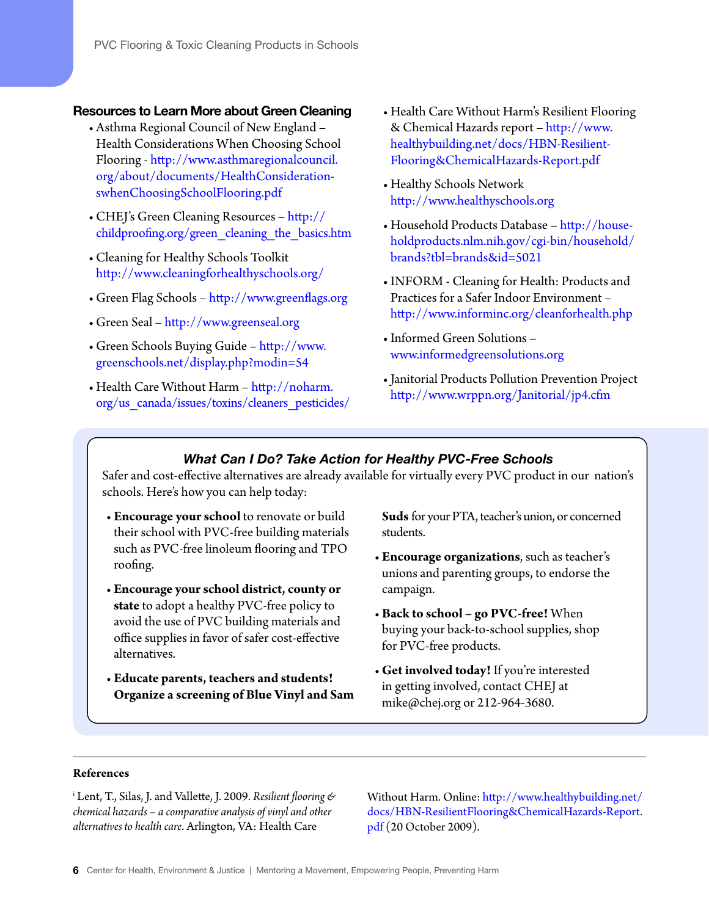#### Resources to Learn More about Green Cleaning

- • Asthma Regional Council of New England Health Considerations When Choosing School Flooring - [http://www.asthmaregionalcouncil.](http://www.asthmaregionalcouncil.org/about/documents/HealthConsiderationswhenChoosingSchoolFlooring.pdf) [org/about/documents/HealthConsideration-](http://www.asthmaregionalcouncil.org/about/documents/HealthConsiderationswhenChoosingSchoolFlooring.pdf)  [swhenChoosingSchoolFlooring.pdf](http://www.asthmaregionalcouncil.org/about/documents/HealthConsiderationswhenChoosingSchoolFlooring.pdf)
- CHEJ's Green Cleaning Resources [http://](http://childproofing.org/green_cleaning_the_basics.htm) childproofing.org/green\_cleaning\_the\_basics.htm
- • Cleaning for Healthy Schools Toolkit <http://www.cleaningforhealthyschools.org/>
- • Green Flag Schools <http://www.greenflags.org>
- • Green Seal <http://www.greenseal.org>
- • Green Schools Buying Guide [http://www.](http://www.greenschools.net/display.php?modin=54)  [greenschools.net/display.php?modin=54](http://www.greenschools.net/display.php?modin=54)
- Health Care Without Harm  $\frac{http://noharm.}{http://noharm.}$  $\frac{http://noharm.}{http://noharm.}$  $\frac{http://noharm.}{http://noharm.}$ [org/us\\_canada/issues/toxins/cleaners\\_pesticides/](http://noharm.org/us_canada/issues/toxins/cleaners_pesticides/)
- Health Care Without Harm's Resilient Flooring & Chemical Hazards report – [http://www.](http://www.healthybuilding.net/docs/HBN-ResilientFlooring&ChemicalHazards-Report.pdf)  [healthybuilding.net/docs/HBN-Resilient-](http://www.healthybuilding.net/docs/HBN-ResilientFlooring&ChemicalHazards-Report.pdf)  [Flooring&ChemicalHazards-Report.pdf](http://www.healthybuilding.net/docs/HBN-ResilientFlooring&ChemicalHazards-Report.pdf)
- • Healthy Schools Network <http://www.healthyschools.org>
- Household Products Database [http://house](http://householdproducts.nlm.nih.gov/cgi-bin/household/brands?tbl=brands&id=5021)[holdproducts.nlm.nih.gov/cgi-bin/household/](http://householdproducts.nlm.nih.gov/cgi-bin/household/brands?tbl=brands&id=5021)  [brands?tbl=brands&id=5021](http://householdproducts.nlm.nih.gov/cgi-bin/household/brands?tbl=brands&id=5021)
- INFORM Cleaning for Health: Products and Practices for a Safer Indoor Environment – <http://www.informinc.org/cleanforhealth.php>
- • Informed Green Solutions <www.informedgreensolutions.org>
- Janitorial Products Pollution Prevention Project <http://www.wrppn.org/Janitorial/jp4.cfm>

## *What Can I Do? Take Action for Healthy PVC-Free Schools*

Safer and cost-effective alternatives are already available for virtually every PVC product in our nation's schools. Here's how you can help today:

- **Encourage your school** to renovate or build their school with PVC-free building materials such as PVC-free linoleum flooring and TPO roofing.
- **Encourage your school district, county or state** to adopt a healthy PVC-free policy to avoid the use of PVC building materials and office supplies in favor of safer cost-effective alternatives.
- • **Educate parents, teachers and students! Organize a screening of Blue Vinyl and Sam**

**Suds** for your PTA, teacher's union, or concerned students.

- • **Encourage organizations**, such as teacher's unions and parenting groups, to endorse the campaign.
- • **Back to school go PVC-free!** When buying your back-to-school supplies, shop for PVC-free products.
- • **Get involved today!** If you're interested in getting involved, contact CHEJ at mike@chej.org or 212-964-3680.

#### **References**

<span id="page-5-0"></span>i Lent, T., Silas, J. and Vallette, J. 2009. *Resilient flooring & chemical hazards – a comparative analysis of vinyl and other alternatives to health care*. Arlington, VA: Health Care

Without Harm. Online: [http://www.healthybuilding.net/](http://www.healthybuilding.net/docs/HBN-ResilientFlooring&ChemicalHazards-Report.pdf) [docs/HBN-ResilientFlooring&ChemicalHazards-Report.](http://www.healthybuilding.net/docs/HBN-ResilientFlooring&ChemicalHazards-Report.pdf) [pdf](http://www.healthybuilding.net/docs/HBN-ResilientFlooring&ChemicalHazards-Report.pdf) (20 October 2009).